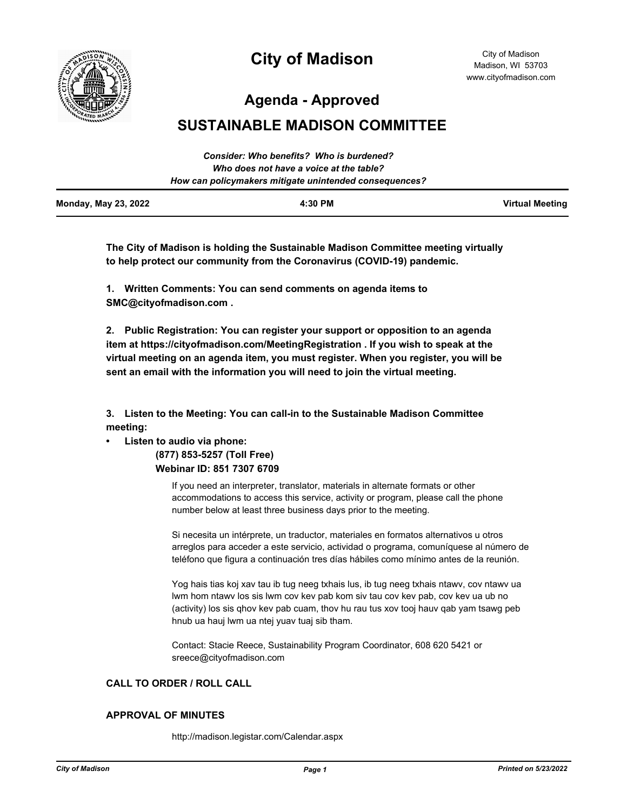

# **City of Madison**

City of Madison Madison, WI 53703 www.cityofmadison.com

**Agenda - Approved**

# **SUSTAINABLE MADISON COMMITTEE**

|                             | Consider: Who benefits? Who is burdened?               |                        |
|-----------------------------|--------------------------------------------------------|------------------------|
|                             | Who does not have a voice at the table?                |                        |
|                             | How can policymakers mitigate unintended consequences? |                        |
| <b>Monday, May 23, 2022</b> | 4:30 PM                                                | <b>Virtual Meeting</b> |

**The City of Madison is holding the Sustainable Madison Committee meeting virtually to help protect our community from the Coronavirus (COVID-19) pandemic.**

**1. Written Comments: You can send comments on agenda items to SMC@cityofmadison.com .**

**2. Public Registration: You can register your support or opposition to an agenda item at https://cityofmadison.com/MeetingRegistration . If you wish to speak at the virtual meeting on an agenda item, you must register. When you register, you will be sent an email with the information you will need to join the virtual meeting.**

**3. Listen to the Meeting: You can call-in to the Sustainable Madison Committee meeting:**

# **• Listen to audio via phone:**

 **(877) 853-5257 (Toll Free) Webinar ID: 851 7307 6709**

> If you need an interpreter, translator, materials in alternate formats or other accommodations to access this service, activity or program, please call the phone number below at least three business days prior to the meeting.

Si necesita un intérprete, un traductor, materiales en formatos alternativos u otros arreglos para acceder a este servicio, actividad o programa, comuníquese al número de teléfono que figura a continuación tres días hábiles como mínimo antes de la reunión.

Yog hais tias koj xav tau ib tug neeg txhais lus, ib tug neeg txhais ntawv, cov ntawv ua lwm hom ntawv los sis lwm cov kev pab kom siv tau cov kev pab, cov kev ua ub no (activity) los sis qhov kev pab cuam, thov hu rau tus xov tooj hauv qab yam tsawg peb hnub ua hauj lwm ua ntej yuav tuaj sib tham.

Contact: Stacie Reece, Sustainability Program Coordinator, 608 620 5421 or sreece@cityofmadison.com

# **CALL TO ORDER / ROLL CALL**

# **APPROVAL OF MINUTES**

http://madison.legistar.com/Calendar.aspx